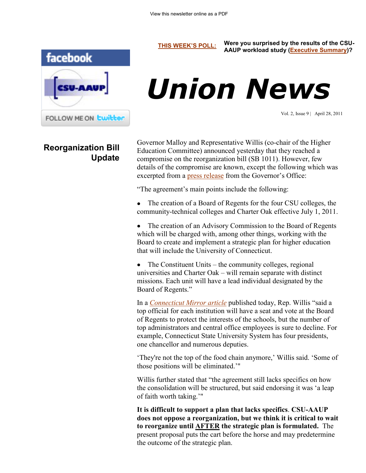

## **Reorganization Bill Update**

**[THIS WEEK'S POLL:](http://www.csuaaup.org/) Were you surprised by the results of the CSU-AAUP workload study [\(Executive Summary\)?](http://www.csuaaup.org/wp-content/uploads/2011/04/ExecutiveSummaryWkldStudy.doc)**

# *Union News*

Vol. 2, Issue 9 | April 28, 2011

Governor Malloy and Representative Willis (co-chair of the Higher Education Committee) announced yesterday that they reached a compromise on the reorganization bill (SB 1011). However, few details of the compromise are known, except the following which was excerpted from a [press release](http://www.governor.ct.gov/malloy/cwp/view.asp?a=4010&Q=477948) from the Governor's Office:

"The agreement's main points include the following:

The creation of a Board of Regents for the four CSU colleges, the community-technical colleges and Charter Oak effective July 1, 2011.

The creation of an Advisory Commission to the Board of Regents which will be charged with, among other things, working with the Board to create and implement a strategic plan for higher education that will include the University of Connecticut.

The Constituent Units – the community colleges, regional universities and Charter Oak – will remain separate with distinct missions. Each unit will have a lead individual designated by the Board of Regents."

In a *[Connecticut Mirror article](http://www.ctmirror.org/story/12384/malloy-legislators-reach-compromise-higher-ed-reorganization)* published today, Rep. Willis "said a top official for each institution will have a seat and vote at the Board of Regents to protect the interests of the schools, but the number of top administrators and central office employees is sure to decline. For example, Connecticut State University System has four presidents, one chancellor and numerous deputies.

"They're not the top of the food chain anymore," Willis said. "Some of those positions will be eliminated.""

Willis further stated that "the agreement still lacks specifics on how the consolidation will be structured, but said endorsing it was "a leap of faith worth taking.""

**It is difficult to support a plan that lacks specifics**. **CSU-AAUP does not oppose a reorganization, but we think it is critical to wait to reorganize until AFTER the strategic plan is formulated.** The present proposal puts the cart before the horse and may predetermine the outcome of the strategic plan.